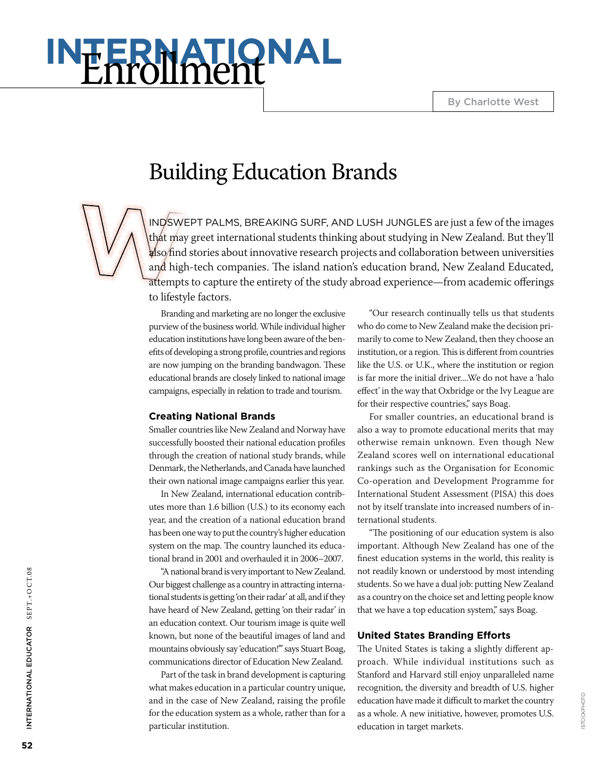By Charlotte West

# **International** Enrollment

# Building Education Brands

indswept palms, breaking surf, and lush jungles are just a few of the images that may greet international students thinking about studying in New Zealand. But they'll also find stories about innovative research projects and collaboration between universities and high-tech companies. The island nation's education brand, New Zealand Educated, attempts to capture the entirety of the study abroad experience—from academic offerings to lifestyle factors.

Branding and marketing are no longer the exclusive purview of the business world. While individual higher education institutions have long been aware of the benefits of developing a strong profile, countries and regions are now jumping on the branding bandwagon. These educational brands are closely linked to national image campaigns, especially in relation to trade and tourism.

#### **Creating National Brands**

Smaller countries like New Zealand and Norway have successfully boosted their national education profiles through the creation of national study brands, while Denmark, the Netherlands, and Canada have launched their own national image campaigns earlier this year.

In New Zealand, international education contributes more than 1.6 billion (U.S.) to its economy each year, and the creation of a national education brand has been one way to put the country's higher education system on the map. The country launched its educational brand in 2001 and overhauled it in 2006–2007.

"A national brand is very important to New Zealand. Our biggest challenge as a country in attracting international students is getting 'on their radar' at all, and if they have heard of New Zealand, getting 'on their radar' in an education context. Our tourism image is quite well known, but none of the beautiful images of land and mountains obviously say 'education!'" says Stuart Boag, communications director of Education New Zealand.

Part of the task in brand development is capturing what makes education in a particular country unique, and in the case of New Zealand, raising the profile for the education system as a whole, rather than for a particular institution.

"Our research continually tells us that students who do come to New Zealand make the decision primarily to come to New Zealand, then they choose an institution, or a region. This is different from countries like the U.S. or U.K., where the institution or region is far more the initial driver....We do not have a 'halo effect' in the way that Oxbridge or the Ivy League are for their respective countries," says Boag.

For smaller countries, an educational brand is also a way to promote educational merits that may otherwise remain unknown. Even though New Zealand scores well on international educational rankings such as the Organisation for Economic Co-operation and Development Programme for International Student Assessment (PISA) this does not by itself translate into increased numbers of international students.

"The positioning of our education system is also important. Although New Zealand has one of the finest education systems in the world, this reality is not readily known or understood by most intending students. So we have a dual job: putting New Zealand as a country on the choice set and letting people know that we have a top education system," says Boag.

#### **United States Branding Efforts**

The United States is taking a slightly different approach. While individual institutions such as Stanford and Harvard still enjoy unparalleled name recognition, the diversity and breadth of U.S. higher education have made it difficult to market the country as a whole. A new initiative, however, promotes U.S. education in target markets.

International Educ

INTERNATIONAL EDUCATOR SEPT.+OCT.08

ator SEPT.+O CT.08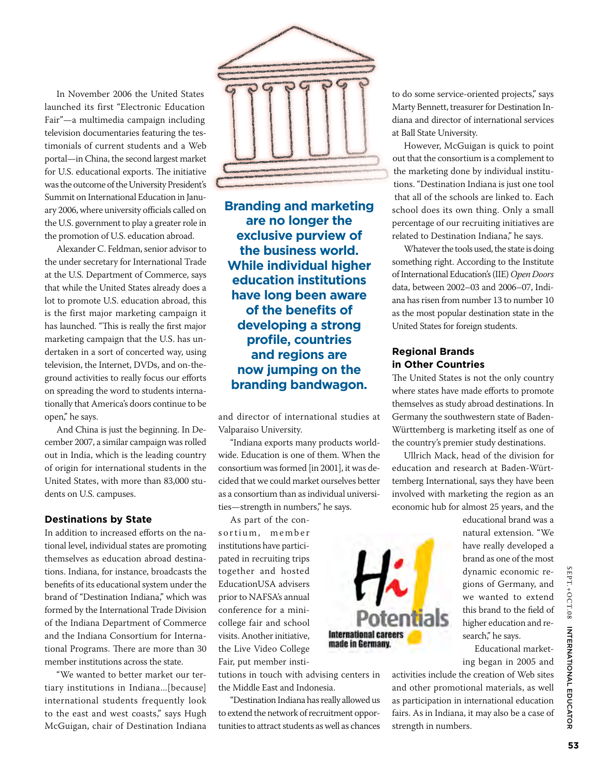In November 2006 the United States launched its first "Electronic Education Fair"—a multimedia campaign including television documentaries featuring the testimonials of current students and a Web portal—in China, the second largest market for U.S. educational exports. The initiative was the outcome of the University President's Summit on International Education in January 2006, where university officials called on the U.S. government to play a greater role in the promotion of U.S. education abroad.

Alexander C. Feldman, senior advisor to the under secretary for International Trade at the U.S. Department of Commerce, says that while the United States already does a lot to promote U.S. education abroad, this is the first major marketing campaign it has launched. "This is really the first major marketing campaign that the U.S. has undertaken in a sort of concerted way, using television, the Internet, DVDs, and on-theground activities to really focus our efforts on spreading the word to students internationally that America's doors continue to be open," he says.

And China is just the beginning. In December 2007, a similar campaign was rolled out in India, which is the leading country of origin for international students in the United States, with more than 83,000 students on U.S. campuses.

#### **Destinations by State**

In addition to increased efforts on the national level, individual states are promoting themselves as education abroad destinations. Indiana, for instance, broadcasts the benefits of its educational system under the brand of "Destination Indiana," which was formed by the International Trade Division of the Indiana Department of Commerce and the Indiana Consortium for International Programs. There are more than 30 member institutions across the state.

"We wanted to better market our tertiary institutions in Indiana...[because] international students frequently look to the east and west coasts," says Hugh McGuigan, chair of Destination Indiana



**Branding and marketing are no longer the exclusive purview of the business world. While individual higher education institutions have long been aware of the benefits of developing a strong profile, countries and regions are now jumping on the branding bandwagon.** 

and director of international studies at Valparaiso University.

"Indiana exports many products worldwide. Education is one of them. When the consortium was formed [in 2001], it was decided that we could market ourselves better as a consortium than as individual universities—strength in numbers," he says.

As part of the cons ortium, member institutions have participated in recruiting trips together and hosted EducationUSA advisers prior to NAFSA's annual conference for a minicollege fair and school visits. Another initiative, the Live Video College Fair, put member insti-

tutions in touch with advising centers in the Middle East and Indonesia.

"Destination Indiana has really allowed us to extend the network of recruitment opportunities to attract students as well as chances

to do some service-oriented projects," says Marty Bennett, treasurer for Destination Indiana and director of international services at Ball State University.

However, McGuigan is quick to point out that the consortium is a complement to the marketing done by individual institutions. "Destination Indiana is just one tool that all of the schools are linked to. Each school does its own thing. Only a small percentage of our recruiting initiatives are related to Destination Indiana," he says.

Whatever the tools used, the state is doing something right. According to the Institute of International Education's (IIE) *Open Doors* data, between 2002–03 and 2006–07, Indiana has risen from number 13 to number 10 as the most popular destination state in the United States for foreign students.

# **Regional Brands in Other Countries**

The United States is not the only country where states have made efforts to promote themselves as study abroad destinations. In Germany the southwestern state of Baden-Württemberg is marketing itself as one of the country's premier study destinations.

Ullrich Mack, head of the division for education and research at Baden-Württemberg International, says they have been involved with marketing the region as an economic hub for almost 25 years, and the



educational brand was a natural extension. "We have really developed a brand as one of the most dynamic economic regions of Germany, and we wanted to extend this brand to the field of higher education and research," he says.

Educational marketing began in 2005 and

activities include the creation of Web sites and other promotional materials, as well as participation in international education fairs. As in Indiana, it may also be a case of strength in numbers.

 SEPT.+OSEPT.+OCT.08 INTERNATIONAL EDUC ator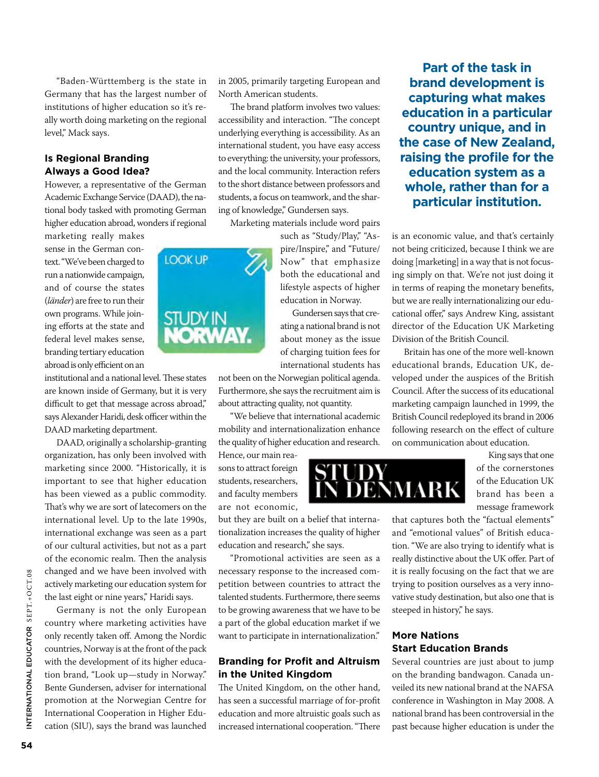"Baden-Württemberg is the state in Germany that has the largest number of institutions of higher education so it's really worth doing marketing on the regional level," Mack says.

## **Is Regional Branding Always a Good Idea?**

However, a representative of the German Academic Exchange Service (DAAD), the national body tasked with promoting German higher education abroad, wonders if regional

marketing really makes sense in the German context. "We've been charged to run a nationwide campaign, and of course the states (*länder*) are free to run their own programs. While joining efforts at the state and federal level makes sense, branding tertiary education abroad is only efficient on an

institutional and a national level. These states are known inside of Germany, but it is very difficult to get that message across abroad," says Alexander Haridi, desk officer within the DAAD marketing department.

DAAD, originally a scholarship-granting organization, has only been involved with marketing since 2000. "Historically, it is important to see that higher education has been viewed as a public commodity. That's why we are sort of latecomers on the international level. Up to the late 1990s, international exchange was seen as a part of our cultural activities, but not as a part of the economic realm. Then the analysis changed and we have been involved with actively marketing our education system for the last eight or nine years," Haridi says.

Germany is not the only European country where marketing activities have only recently taken off. Among the Nordic countries, Norway is at the front of the pack with the development of its higher education brand, "Look up—study in Norway." Bente Gundersen, adviser for international promotion at the Norwegian Centre for International Cooperation in Higher Education (SIU), says the brand was launched in 2005, primarily targeting European and North American students.

The brand platform involves two values: accessibility and interaction. "The concept underlying everything is accessibility. As an international student, you have easy access to everything: the university, your professors, and the local community. Interaction refers to the short distance between professors and students, a focus on teamwork, and the sharing of knowledge," Gundersen says.

Marketing materials include word pairs

such as "Study/Play," "Aspire/Inspire," and "Future/ Now" that emphasize both the educational and lifestyle aspects of higher education in Norway.

Gundersen says that creating a national brand is not about money as the issue of charging tuition fees for international students has

not been on the Norwegian political agenda. Furthermore, she says the recruitment aim is about attracting quality, not quantity.

"We believe that international academic mobility and internationalization enhance the quality of higher education and research.

Hence, our main reasons to attract foreign students, researchers, and faculty members are not economic,

but they are built on a belief that internationalization increases the quality of higher education and research," she says.

"Promotional activities are seen as a necessary response to the increased competition between countries to attract the talented students. Furthermore, there seems to be growing awareness that we have to be a part of the global education market if we want to participate in internationalization."

# **Branding for Profit and Altruism in the United Kingdom**

The United Kingdom, on the other hand, has seen a successful marriage of for-profit education and more altruistic goals such as increased international cooperation. "There

**Part of the task in brand development is capturing what makes education in a particular country unique, and in the case of New Zealand, raising the profile for the education system as a whole, rather than for a particular institution.**

is an economic value, and that's certainly not being criticized, because I think we are doing [marketing] in a way that is not focusing simply on that. We're not just doing it in terms of reaping the monetary benefits, but we are really internationalizing our educational offer," says Andrew King, assistant director of the Education UK Marketing Division of the British Council.

Britain has one of the more well-known educational brands, Education UK, developed under the auspices of the British Council. After the success of its educational marketing campaign launched in 1999, the British Council redeployed its brand in 2006 following research on the effect of culture on communication about education.

King says that one of the cornerstones of the Education UK DENMARK brand has been a message framework

> that captures both the "factual elements" and "emotional values" of British education. "We are also trying to identify what is really distinctive about the UK offer. Part of it is really focusing on the fact that we are trying to position ourselves as a very innovative study destination, but also one that is steeped in history," he says.

## **More Nations Start Education Brands**

Several countries are just about to jump on the branding bandwagon. Canada unveiled its new national brand at the NAFSA conference in Washington in May 2008. A national brand has been controversial in the past because higher education is under the